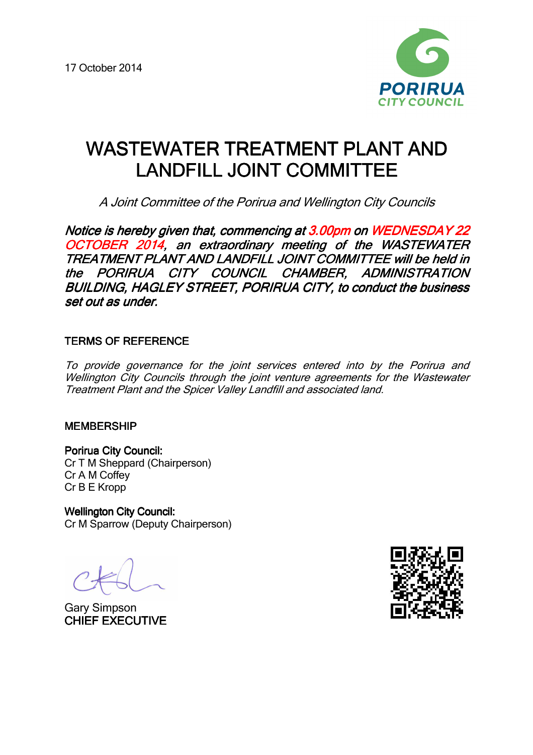

# WASTEWATER TREATMENT PLANT AND LANDFILL JOINT COMMITTEE

A Joint Committee of the Porirua and Wellington City Councils

Notice is hereby given that, commencing at 3.00pm on WEDNESDAY 22 OCTOBER 2014, an extraordinary meeting of the WASTEWATER TREATMENT PLANT AND LANDFILL JOINT COMMITTEE will be held in the PORIRUA CITY COUNCIL CHAMBER, ADMINISTRATION BUILDING, HAGLEY STREET, PORIRUA CITY, to conduct the business set out as under.

# **TERMS OF REFERENCE**

To provide governance for the joint services entered into by the Porirua and Wellington City Councils through the joint venture agreements for the Wastewater Treatment Plant and the Spicer Valley Landfill and associated land.

### MEMBERSHIP

Porirua City Council: Cr T M Sheppard (Chairperson) Cr A M Coffey Cr B E Kropp

**Wellington City Council:** Cr M Sparrow (Deputy Chairperson)

Gary Simpson **CHIEF EXECUTIVE** 

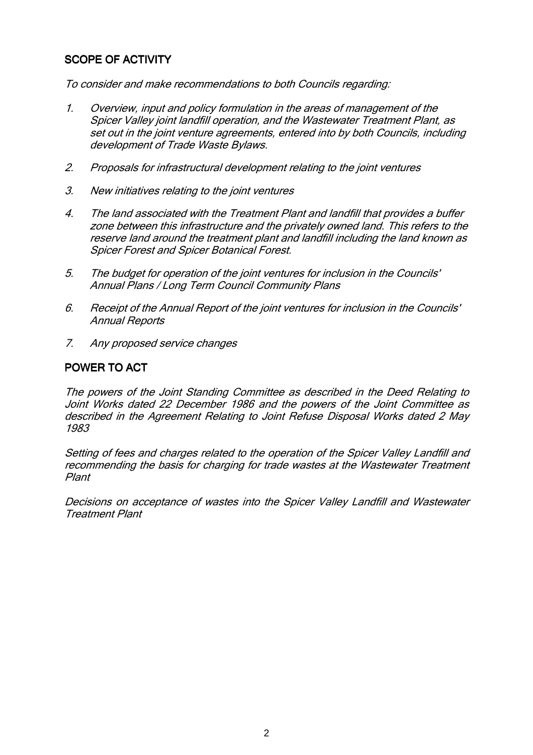# SCOPE OF ACTIVITY

To consider and make recommendations to both Councils regarding:

- 1. Overview, input and policy formulation in the areas of management of the Spicer Valley joint landfill operation, and the Wastewater Treatment Plant, as set out in the joint venture agreements, entered into by both Councils, including development of Trade Waste Bylaws.
- 2. Proposals for infrastructural development relating to the joint ventures
- 3. New initiatives relating to the joint ventures
- 4. The land associated with the Treatment Plant and landfill that provides a buffer zone between this infrastructure and the privately owned land. This refers to the reserve land around the treatment plant and landfill including the land known as Spicer Forest and Spicer Botanical Forest.
- 5. The budget for operation of the joint ventures for inclusion in the Councils' Annual Plans / Long Term Council Community Plans
- 6. Receipt of the Annual Report of the joint ventures for inclusion in the Councils' Annual Reports
- 7. Any proposed service changes

# POWER TO ACT

The powers of the Joint Standing Committee as described in the Deed Relating to Joint Works dated 22 December 1986 and the powers of the Joint Committee as described in the Agreement Relating to Joint Refuse Disposal Works dated 2 May 1983

Setting of fees and charges related to the operation of the Spicer Valley Landfill and recommending the basis for charging for trade wastes at the Wastewater Treatment Plant

Decisions on acceptance of wastes into the Spicer Valley Landfill and Wastewater Treatment Plant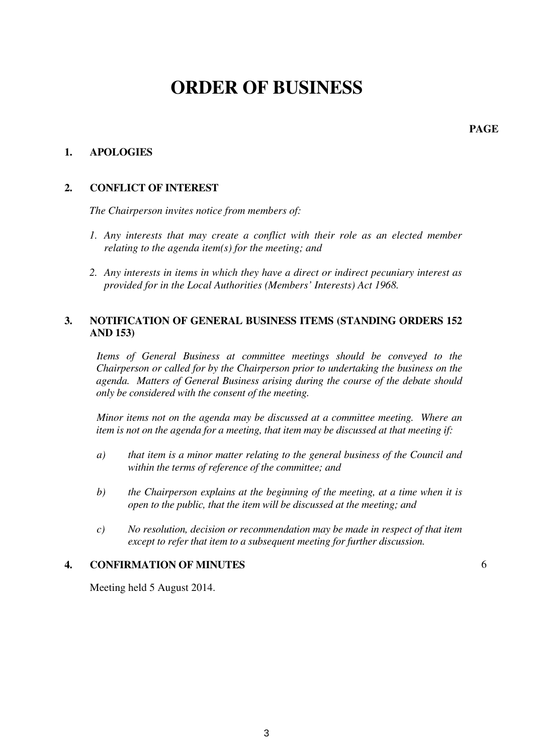# **ORDER OF BUSINESS**

**PAGE**

### **1. APOLOGIES**

### **2. CONFLICT OF INTEREST**

*The Chairperson invites notice from members of:* 

- *1. Any interests that may create a conflict with their role as an elected member relating to the agenda item(s) for the meeting; and*
- *2. Any interests in items in which they have a direct or indirect pecuniary interest as provided for in the Local Authorities (Members' Interests) Act 1968.*

### **3. NOTIFICATION OF GENERAL BUSINESS ITEMS (STANDING ORDERS 152 AND 153)**

*Items of General Business at committee meetings should be conveyed to the Chairperson or called for by the Chairperson prior to undertaking the business on the agenda. Matters of General Business arising during the course of the debate should only be considered with the consent of the meeting.* 

*Minor items not on the agenda may be discussed at a committee meeting. Where an item is not on the agenda for a meeting, that item may be discussed at that meeting if:* 

- *a) that item is a minor matter relating to the general business of the Council and within the terms of reference of the committee; and*
- *b) the Chairperson explains at the beginning of the meeting, at a time when it is open to the public, that the item will be discussed at the meeting; and*
- *c) No resolution, decision or recommendation may be made in respect of that item except to refer that item to a subsequent meeting for further discussion.*

### **4. CONFIRMATION OF MINUTES**

6

Meeting held 5 August 2014.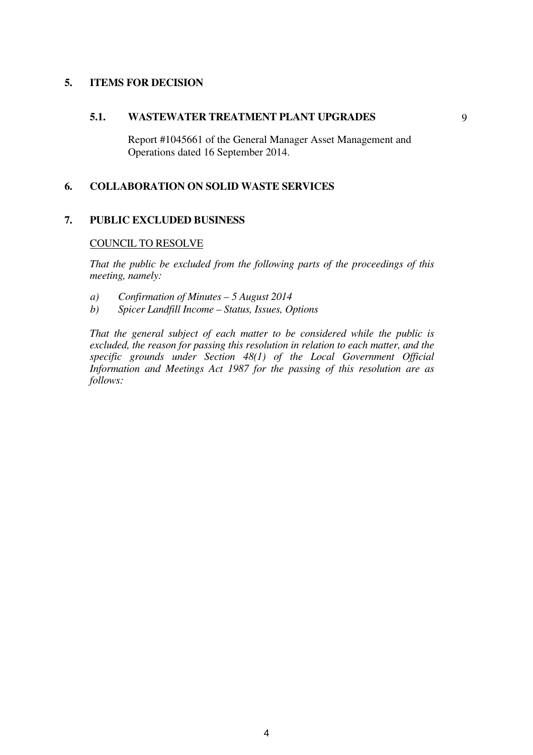### **5. ITEMS FOR DECISION**

#### **5.1. WASTEWATER TREATMENT PLANT UPGRADES**

Report #1045661 of the General Manager Asset Management and Operations dated 16 September 2014.

### **6. COLLABORATION ON SOLID WASTE SERVICES**

#### **7. PUBLIC EXCLUDED BUSINESS**

#### COUNCIL TO RESOLVE

*That the public be excluded from the following parts of the proceedings of this meeting, namely:* 

- *a) Confirmation of Minutes 5 August 2014*
- *b) Spicer Landfill Income Status, Issues, Options*

*That the general subject of each matter to be considered while the public is excluded, the reason for passing this resolution in relation to each matter, and the specific grounds under Section 48(1) of the Local Government Official Information and Meetings Act 1987 for the passing of this resolution are as follows:*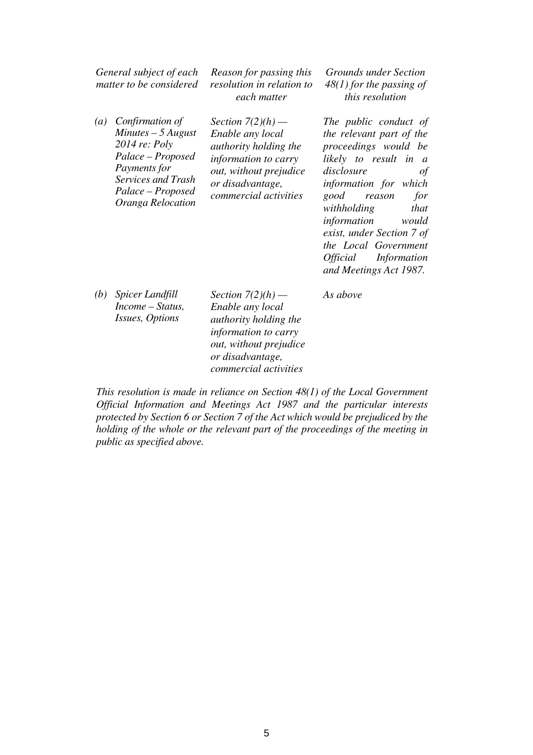| General subject of each<br>matter to be considered |                                                                                                                                                               | Reason for passing this<br>resolution in relation to<br>each matter                                                                                                    | <b>Grounds under Section</b><br>$48(1)$ for the passing of<br>this resolution                                                                                                                                                                                                                                                                    |  |
|----------------------------------------------------|---------------------------------------------------------------------------------------------------------------------------------------------------------------|------------------------------------------------------------------------------------------------------------------------------------------------------------------------|--------------------------------------------------------------------------------------------------------------------------------------------------------------------------------------------------------------------------------------------------------------------------------------------------------------------------------------------------|--|
| $\left(a\right)$                                   | Confirmation of<br>$Minutes - 5 August$<br>2014 re: Poly<br>Palace – Proposed<br>Payments for<br>Services and Trash<br>Palace – Proposed<br>Oranga Relocation | Section $7(2)(h)$ —<br>Enable any local<br>authority holding the<br><i>information to carry</i><br>out, without prejudice<br>or disadvantage,<br>commercial activities | The public conduct of<br>the relevant part of the<br>proceedings would be<br>likely to result in a<br>disclosure<br>$\sigma f$<br>information for which<br>for<br>good<br>reason<br>that<br>withholding<br>information<br>would<br>exist, under Section 7 of<br>the Local Government<br>Information<br><i>Official</i><br>and Meetings Act 1987. |  |

*As above* 

*(b) Spicer Landfill Income – Status, Issues, Options* 

*Section 7(2)(h) — Enable any local authority holding the information to carry out, without prejudice or disadvantage, commercial activities* 

 *This resolution is made in reliance on Section 48(1) of the Local Government Official Information and Meetings Act 1987 and the particular interests protected by Section 6 or Section 7 of the Act which would be prejudiced by the holding of the whole or the relevant part of the proceedings of the meeting in public as specified above.*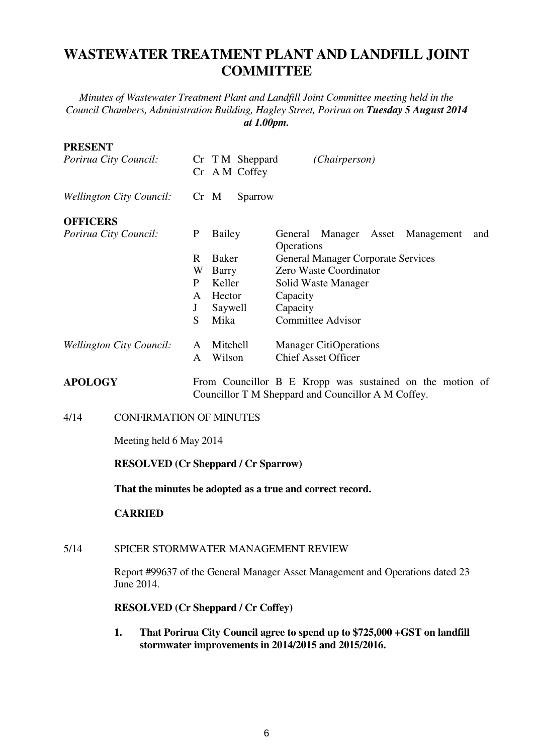# **WASTEWATER TREATMENT PLANT AND LANDFILL JOINT COMMITTEE**

*Minutes of Wastewater Treatment Plant and Landfill Joint Committee meeting held in the Council Chambers, Administration Building, Hagley Street, Porirua on Tuesday 5 August 2014 at 1.00pm.*

# **PRESENT**  *Porirua City Council:* Cr T M Sheppard *(Chairperson)*  Cr A M Coffey *Wellington City Council:* Cr M Sparrow **OFFICERS**  *Porirua City Council:* P Bailey General Manager Asset Management and **Operations** R Baker General Manager Corporate Services<br>W Barry Zero Waste Coordinator Zero Waste Coordinator P Keller Solid Waste Manager A Hector Capacity J Saywell Capacity S Mika Committee Advisor *Wellington City Council:* A Mitchell Manager CitiOperations A Wilson Chief Asset Officer **APOLOGY** From Councillor B E Kropp was sustained on the motion of Councillor T M Sheppard and Councillor A M Coffey. 4/14 CONFIRMATION OF MINUTES

Meeting held 6 May 2014

# **RESOLVED (Cr Sheppard / Cr Sparrow)**

**That the minutes be adopted as a true and correct record.** 

# **CARRIED**

### 5/14 SPICER STORMWATER MANAGEMENT REVIEW

Report #99637 of the General Manager Asset Management and Operations dated 23 June 2014.

# **RESOLVED (Cr Sheppard / Cr Coffey)**

**1. That Porirua City Council agree to spend up to \$725,000 +GST on landfill stormwater improvements in 2014/2015 and 2015/2016.**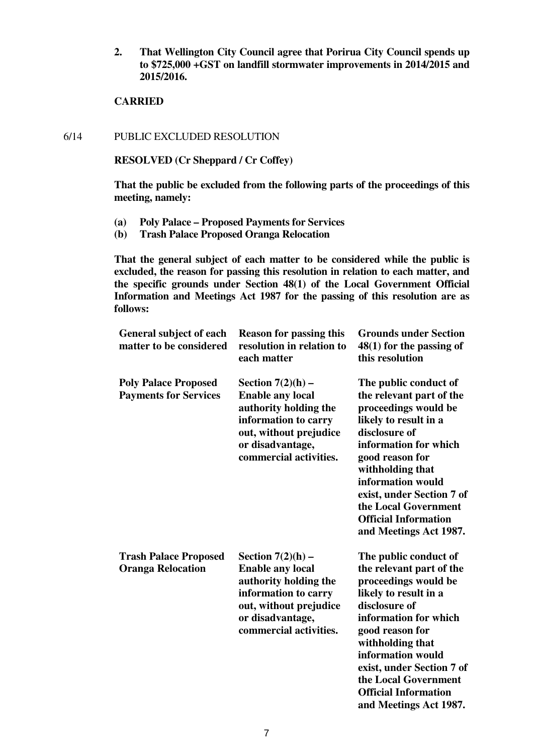**2. That Wellington City Council agree that Porirua City Council spends up to \$725,000 +GST on landfill stormwater improvements in 2014/2015 and 2015/2016.** 

### **CARRIED**

6/14 PUBLIC EXCLUDED RESOLUTION

**RESOLVED (Cr Sheppard / Cr Coffey)** 

**That the public be excluded from the following parts of the proceedings of this meeting, namely:** 

- **(a) Poly Palace Proposed Payments for Services**
- **(b) Trash Palace Proposed Oranga Relocation**

**That the general subject of each matter to be considered while the public is excluded, the reason for passing this resolution in relation to each matter, and the specific grounds under Section 48(1) of the Local Government Official Information and Meetings Act 1987 for the passing of this resolution are as follows:** 

| <b>General subject of each</b><br>matter to be considered   | <b>Reason for passing this</b><br>resolution in relation to<br>each matter                                                                                              | <b>Grounds under Section</b><br>$48(1)$ for the passing of<br>this resolution                                                                                                                                                                                                                                          |
|-------------------------------------------------------------|-------------------------------------------------------------------------------------------------------------------------------------------------------------------------|------------------------------------------------------------------------------------------------------------------------------------------------------------------------------------------------------------------------------------------------------------------------------------------------------------------------|
| <b>Poly Palace Proposed</b><br><b>Payments for Services</b> | Section $7(2)(h)$ –<br><b>Enable any local</b><br>authority holding the<br>information to carry<br>out, without prejudice<br>or disadvantage,<br>commercial activities. | The public conduct of<br>the relevant part of the<br>proceedings would be<br>likely to result in a<br>disclosure of<br>information for which<br>good reason for<br>withholding that<br>information would<br>exist, under Section 7 of<br>the Local Government<br><b>Official Information</b><br>and Meetings Act 1987. |
| <b>Trash Palace Proposed</b><br><b>Oranga Relocation</b>    | Section $7(2)(h)$ –<br><b>Enable any local</b><br>authority holding the<br>information to carry<br>out, without prejudice<br>or disadvantage,<br>commercial activities. | The public conduct of<br>the relevant part of the<br>proceedings would be<br>likely to result in a<br>disclosure of<br>information for which<br>good reason for<br>withholding that<br>information would<br>exist, under Section 7 of<br>the Local Government<br><b>Official Information</b><br>and Meetings Act 1987. |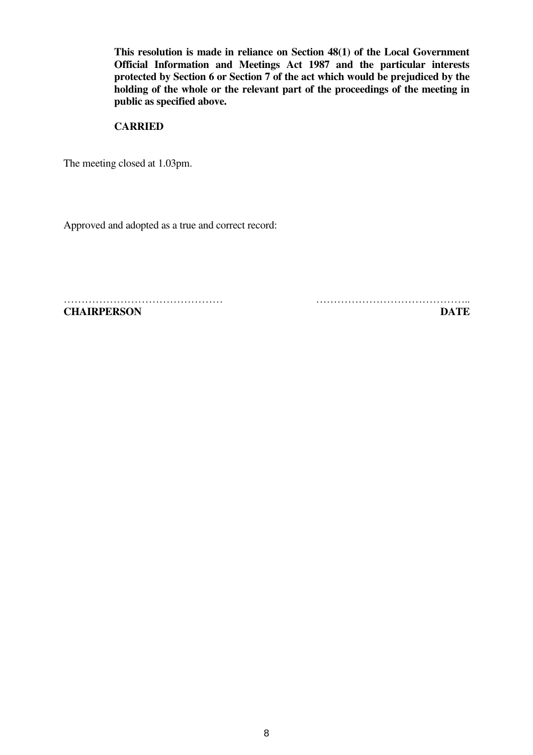**This resolution is made in reliance on Section 48(1) of the Local Government Official Information and Meetings Act 1987 and the particular interests protected by Section 6 or Section 7 of the act which would be prejudiced by the holding of the whole or the relevant part of the proceedings of the meeting in public as specified above.** 

## **CARRIED**

The meeting closed at 1.03pm.

Approved and adopted as a true and correct record:

**CHAIRPERSON DATE**

……………………………………… ……………………………………..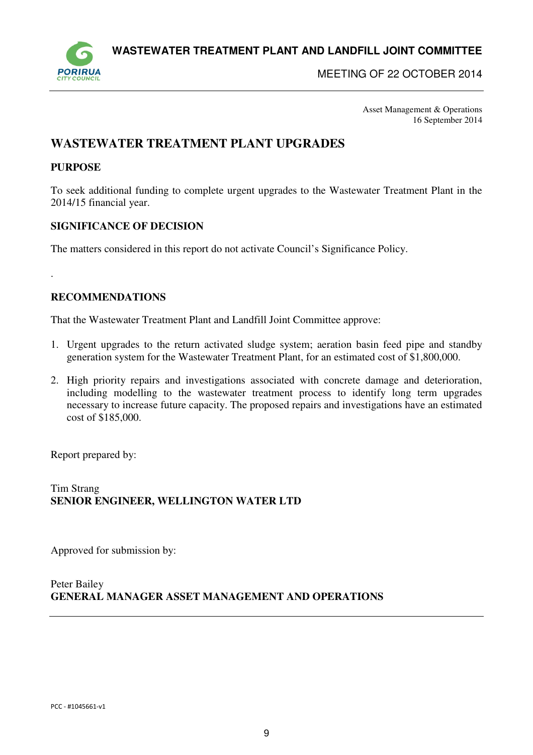**WASTEWATER TREATMENT PLANT AND LANDFILL JOINT COMMITTEE** 



MEETING OF 22 OCTOBER 2014

Asset Management & Operations 16 September 2014

# **WASTEWATER TREATMENT PLANT UPGRADES**

# **PURPOSE**

.

To seek additional funding to complete urgent upgrades to the Wastewater Treatment Plant in the 2014/15 financial year.

### **SIGNIFICANCE OF DECISION**

The matters considered in this report do not activate Council's Significance Policy.

### **RECOMMENDATIONS**

That the Wastewater Treatment Plant and Landfill Joint Committee approve:

- 1. Urgent upgrades to the return activated sludge system; aeration basin feed pipe and standby generation system for the Wastewater Treatment Plant, for an estimated cost of \$1,800,000.
- 2. High priority repairs and investigations associated with concrete damage and deterioration, including modelling to the wastewater treatment process to identify long term upgrades necessary to increase future capacity. The proposed repairs and investigations have an estimated cost of \$185,000.

Report prepared by:

Tim Strang **SENIOR ENGINEER, WELLINGTON WATER LTD** 

Approved for submission by:

Peter Bailey **GENERAL MANAGER ASSET MANAGEMENT AND OPERATIONS**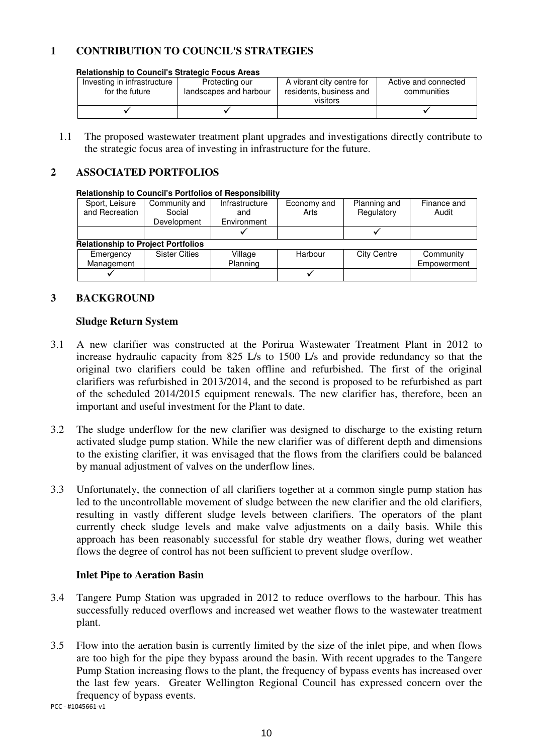# **1 CONTRIBUTION TO COUNCIL'S STRATEGIES**

**Relationship to Council's Strategic Focus Areas** 

| Investing in infrastructure<br>for the future | Protecting our<br>landscapes and harbour | A vibrant city centre for<br>residents, business and | Active and connected<br>communities |  |  |  |
|-----------------------------------------------|------------------------------------------|------------------------------------------------------|-------------------------------------|--|--|--|
|                                               |                                          | visitors                                             |                                     |  |  |  |
|                                               |                                          |                                                      |                                     |  |  |  |

1.1 The proposed wastewater treatment plant upgrades and investigations directly contribute to the strategic focus area of investing in infrastructure for the future.

## **2 ASSOCIATED PORTFOLIOS**

#### **Relationship to Council's Portfolios of Responsibility**

| Sport, Leisure                            | Community and        | Infrastructure | Economy and | Planning and       | Finance and |
|-------------------------------------------|----------------------|----------------|-------------|--------------------|-------------|
| and Recreation                            | Social               | and            | Arts        | Regulatory         | Audit       |
|                                           | Development          | Environment    |             |                    |             |
|                                           |                      |                |             |                    |             |
| <b>Relationship to Project Portfolios</b> |                      |                |             |                    |             |
| Emergency                                 | <b>Sister Cities</b> | Village        | Harbour     | <b>City Centre</b> | Community   |
| Management                                |                      | Planning       |             |                    | Empowerment |
|                                           |                      |                |             |                    |             |

### **3 BACKGROUND**

### **Sludge Return System**

- 3.1 A new clarifier was constructed at the Porirua Wastewater Treatment Plant in 2012 to increase hydraulic capacity from 825 L/s to 1500 L/s and provide redundancy so that the original two clarifiers could be taken offline and refurbished. The first of the original clarifiers was refurbished in 2013/2014, and the second is proposed to be refurbished as part of the scheduled 2014/2015 equipment renewals. The new clarifier has, therefore, been an important and useful investment for the Plant to date.
- 3.2 The sludge underflow for the new clarifier was designed to discharge to the existing return activated sludge pump station. While the new clarifier was of different depth and dimensions to the existing clarifier, it was envisaged that the flows from the clarifiers could be balanced by manual adjustment of valves on the underflow lines.
- 3.3 Unfortunately, the connection of all clarifiers together at a common single pump station has led to the uncontrollable movement of sludge between the new clarifier and the old clarifiers, resulting in vastly different sludge levels between clarifiers. The operators of the plant currently check sludge levels and make valve adjustments on a daily basis. While this approach has been reasonably successful for stable dry weather flows, during wet weather flows the degree of control has not been sufficient to prevent sludge overflow.

### **Inlet Pipe to Aeration Basin**

- 3.4 Tangere Pump Station was upgraded in 2012 to reduce overflows to the harbour. This has successfully reduced overflows and increased wet weather flows to the wastewater treatment plant.
- 3.5 Flow into the aeration basin is currently limited by the size of the inlet pipe, and when flows are too high for the pipe they bypass around the basin. With recent upgrades to the Tangere Pump Station increasing flows to the plant, the frequency of bypass events has increased over the last few years. Greater Wellington Regional Council has expressed concern over the frequency of bypass events.

PCC - #1045661-v1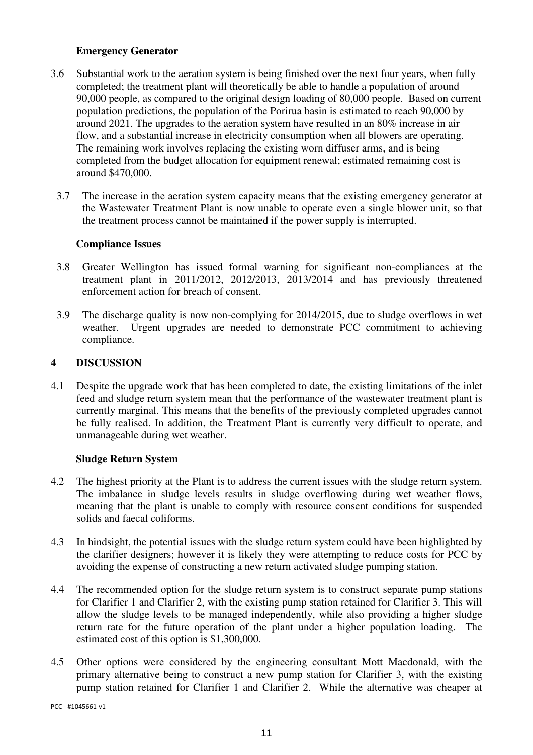### **Emergency Generator**

- 3.6 Substantial work to the aeration system is being finished over the next four years, when fully completed; the treatment plant will theoretically be able to handle a population of around 90,000 people, as compared to the original design loading of 80,000 people. Based on current population predictions, the population of the Porirua basin is estimated to reach 90,000 by around 2021. The upgrades to the aeration system have resulted in an 80% increase in air flow, and a substantial increase in electricity consumption when all blowers are operating. The remaining work involves replacing the existing worn diffuser arms, and is being completed from the budget allocation for equipment renewal; estimated remaining cost is around \$470,000.
	- 3.7 The increase in the aeration system capacity means that the existing emergency generator at the Wastewater Treatment Plant is now unable to operate even a single blower unit, so that the treatment process cannot be maintained if the power supply is interrupted.

# **Compliance Issues**

- 3.8 Greater Wellington has issued formal warning for significant non-compliances at the treatment plant in 2011/2012, 2012/2013, 2013/2014 and has previously threatened enforcement action for breach of consent.
- 3.9 The discharge quality is now non-complying for 2014/2015, due to sludge overflows in wet weather. Urgent upgrades are needed to demonstrate PCC commitment to achieving compliance.

### **4 DISCUSSION**

4.1 Despite the upgrade work that has been completed to date, the existing limitations of the inlet feed and sludge return system mean that the performance of the wastewater treatment plant is currently marginal. This means that the benefits of the previously completed upgrades cannot be fully realised. In addition, the Treatment Plant is currently very difficult to operate, and unmanageable during wet weather.

# **Sludge Return System**

- 4.2 The highest priority at the Plant is to address the current issues with the sludge return system. The imbalance in sludge levels results in sludge overflowing during wet weather flows, meaning that the plant is unable to comply with resource consent conditions for suspended solids and faecal coliforms.
- 4.3 In hindsight, the potential issues with the sludge return system could have been highlighted by the clarifier designers; however it is likely they were attempting to reduce costs for PCC by avoiding the expense of constructing a new return activated sludge pumping station.
- 4.4 The recommended option for the sludge return system is to construct separate pump stations for Clarifier 1 and Clarifier 2, with the existing pump station retained for Clarifier 3. This will allow the sludge levels to be managed independently, while also providing a higher sludge return rate for the future operation of the plant under a higher population loading. The estimated cost of this option is \$1,300,000.
- 4.5 Other options were considered by the engineering consultant Mott Macdonald, with the primary alternative being to construct a new pump station for Clarifier 3, with the existing pump station retained for Clarifier 1 and Clarifier 2. While the alternative was cheaper at

PCC - #1045661-v1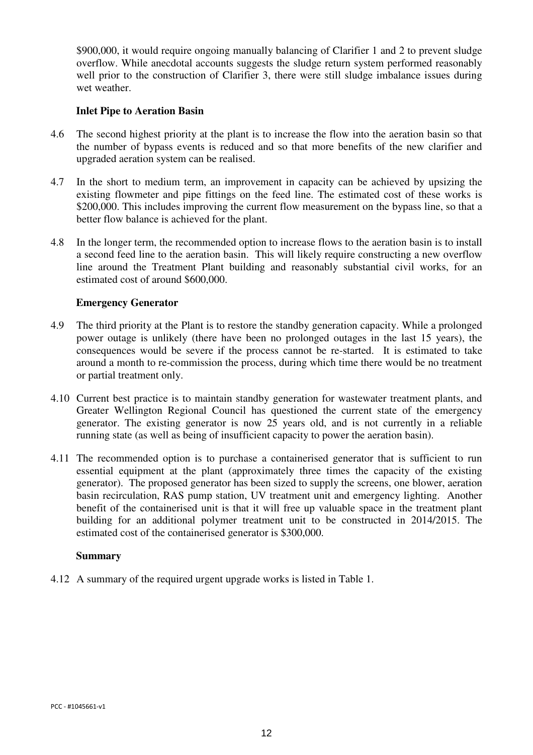\$900,000, it would require ongoing manually balancing of Clarifier 1 and 2 to prevent sludge overflow. While anecdotal accounts suggests the sludge return system performed reasonably well prior to the construction of Clarifier 3, there were still sludge imbalance issues during wet weather.

### **Inlet Pipe to Aeration Basin**

- 4.6 The second highest priority at the plant is to increase the flow into the aeration basin so that the number of bypass events is reduced and so that more benefits of the new clarifier and upgraded aeration system can be realised.
- 4.7 In the short to medium term, an improvement in capacity can be achieved by upsizing the existing flowmeter and pipe fittings on the feed line. The estimated cost of these works is \$200,000. This includes improving the current flow measurement on the bypass line, so that a better flow balance is achieved for the plant.
- 4.8 In the longer term, the recommended option to increase flows to the aeration basin is to install a second feed line to the aeration basin. This will likely require constructing a new overflow line around the Treatment Plant building and reasonably substantial civil works, for an estimated cost of around \$600,000.

### **Emergency Generator**

- 4.9 The third priority at the Plant is to restore the standby generation capacity. While a prolonged power outage is unlikely (there have been no prolonged outages in the last 15 years), the consequences would be severe if the process cannot be re-started. It is estimated to take around a month to re-commission the process, during which time there would be no treatment or partial treatment only.
- 4.10 Current best practice is to maintain standby generation for wastewater treatment plants, and Greater Wellington Regional Council has questioned the current state of the emergency generator. The existing generator is now 25 years old, and is not currently in a reliable running state (as well as being of insufficient capacity to power the aeration basin).
- 4.11 The recommended option is to purchase a containerised generator that is sufficient to run essential equipment at the plant (approximately three times the capacity of the existing generator). The proposed generator has been sized to supply the screens, one blower, aeration basin recirculation, RAS pump station, UV treatment unit and emergency lighting. Another benefit of the containerised unit is that it will free up valuable space in the treatment plant building for an additional polymer treatment unit to be constructed in 2014/2015. The estimated cost of the containerised generator is \$300,000.

### **Summary**

4.12 A summary of the required urgent upgrade works is listed in Table 1.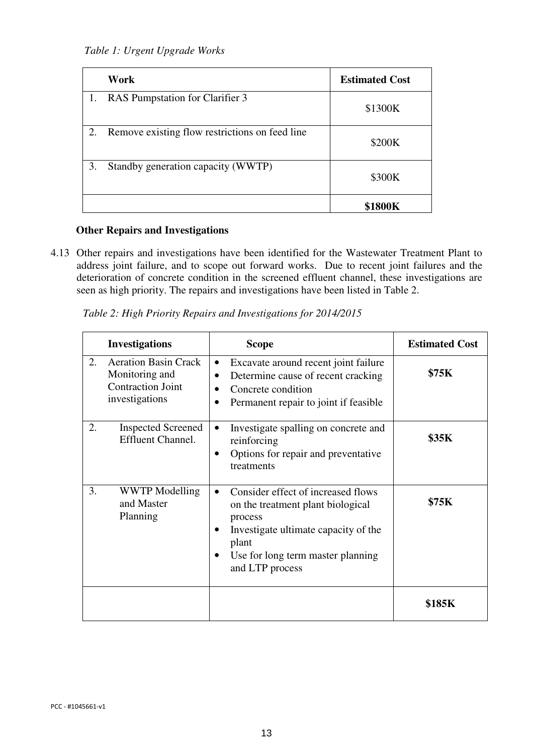*Table 1: Urgent Upgrade Works* 

|    | Work                                           | <b>Estimated Cost</b> |
|----|------------------------------------------------|-----------------------|
| 1. | RAS Pumpstation for Clarifier 3                | \$1300K               |
| 2. | Remove existing flow restrictions on feed line | \$200K                |
| 3. | Standby generation capacity (WWTP)             | \$300K                |
|    |                                                | 800K                  |

# **Other Repairs and Investigations**

4.13 Other repairs and investigations have been identified for the Wastewater Treatment Plant to address joint failure, and to scope out forward works. Due to recent joint failures and the deterioration of concrete condition in the screened effluent channel, these investigations are seen as high priority. The repairs and investigations have been listed in Table 2.

|    | <b>Investigations</b>                                                                       | <b>Scope</b>                                                                                                                                                                                             | <b>Estimated Cost</b> |
|----|---------------------------------------------------------------------------------------------|----------------------------------------------------------------------------------------------------------------------------------------------------------------------------------------------------------|-----------------------|
| 2. | <b>Aeration Basin Crack</b><br>Monitoring and<br><b>Contraction Joint</b><br>investigations | Excavate around recent joint failure<br>$\bullet$<br>Determine cause of recent cracking<br>Concrete condition<br>Permanent repair to joint if feasible                                                   | <b>\$75K</b>          |
| 2. | <b>Inspected Screened</b><br><b>Effluent Channel.</b>                                       | Investigate spalling on concrete and<br>$\bullet$<br>reinforcing<br>Options for repair and preventative<br>٠<br>treatments                                                                               | \$35K                 |
| 3. | WWTP Modelling<br>and Master<br>Planning                                                    | Consider effect of increased flows<br>$\bullet$<br>on the treatment plant biological<br>process<br>Investigate ultimate capacity of the<br>plant<br>Use for long term master planning<br>and LTP process | <b>\$75K</b>          |
|    |                                                                                             |                                                                                                                                                                                                          | \$185K                |

*Table 2: High Priority Repairs and Investigations for 2014/2015*